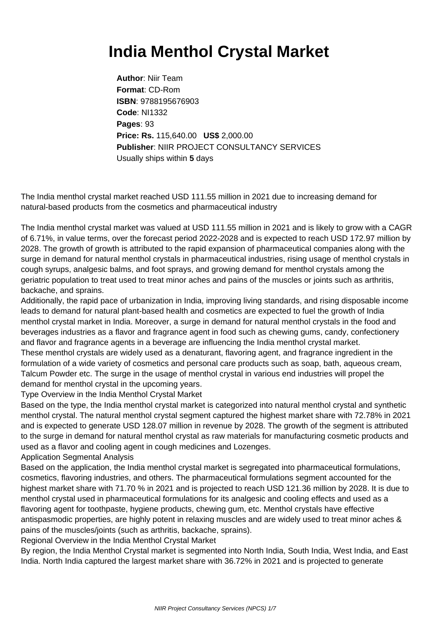## **India Menthol Crystal Market**

**Author**: Niir Team **Format**: CD-Rom **ISBN**: 9788195676903 **Code**: NI1332 **Pages**: 93 **Price: Rs.** 115,640.00 **US\$** 2,000.00 **Publisher**: NIIR PROJECT CONSULTANCY SERVICES Usually ships within **5** days

The India menthol crystal market reached USD 111.55 million in 2021 due to increasing demand for natural-based products from the cosmetics and pharmaceutical industry

The India menthol crystal market was valued at USD 111.55 million in 2021 and is likely to grow with a CAGR of 6.71%, in value terms, over the forecast period 2022-2028 and is expected to reach USD 172.97 million by 2028. The growth of growth is attributed to the rapid expansion of pharmaceutical companies along with the surge in demand for natural menthol crystals in pharmaceutical industries, rising usage of menthol crystals in cough syrups, analgesic balms, and foot sprays, and growing demand for menthol crystals among the geriatric population to treat used to treat minor aches and pains of the muscles or joints such as arthritis, backache, and sprains.

Additionally, the rapid pace of urbanization in India, improving living standards, and rising disposable income leads to demand for natural plant-based health and cosmetics are expected to fuel the growth of India menthol crystal market in India. Moreover, a surge in demand for natural menthol crystals in the food and beverages industries as a flavor and fragrance agent in food such as chewing gums, candy, confectionery and flavor and fragrance agents in a beverage are influencing the India menthol crystal market. These menthol crystals are widely used as a denaturant, flavoring agent, and fragrance ingredient in the formulation of a wide variety of cosmetics and personal care products such as soap, bath, aqueous cream, Talcum Powder etc. The surge in the usage of menthol crystal in various end industries will propel the demand for menthol crystal in the upcoming years.

Type Overview in the India Menthol Crystal Market

Based on the type, the India menthol crystal market is categorized into natural menthol crystal and synthetic menthol crystal. The natural menthol crystal segment captured the highest market share with 72.78% in 2021 and is expected to generate USD 128.07 million in revenue by 2028. The growth of the segment is attributed to the surge in demand for natural menthol crystal as raw materials for manufacturing cosmetic products and used as a flavor and cooling agent in cough medicines and Lozenges.

Application Segmental Analysis

Based on the application, the India menthol crystal market is segregated into pharmaceutical formulations, cosmetics, flavoring industries, and others. The pharmaceutical formulations segment accounted for the highest market share with 71.70 % in 2021 and is projected to reach USD 121.36 million by 2028. It is due to menthol crystal used in pharmaceutical formulations for its analgesic and cooling effects and used as a flavoring agent for toothpaste, hygiene products, chewing gum, etc. Menthol crystals have effective antispasmodic properties, are highly potent in relaxing muscles and are widely used to treat minor aches & pains of the muscles/joints (such as arthritis, backache, sprains).

Regional Overview in the India Menthol Crystal Market

By region, the India Menthol Crystal market is segmented into North India, South India, West India, and East India. North India captured the largest market share with 36.72% in 2021 and is projected to generate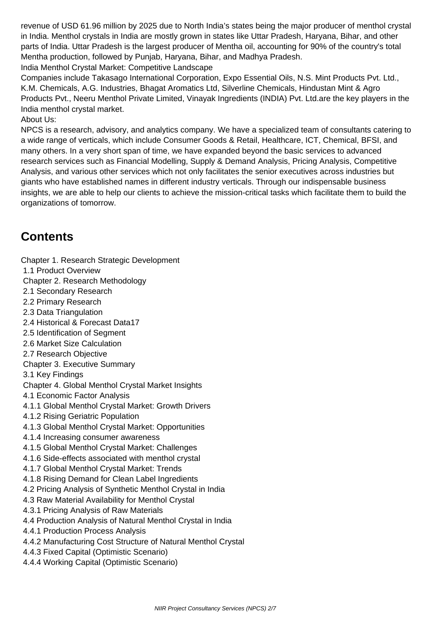revenue of USD 61.96 million by 2025 due to North India's states being the major producer of menthol crystal in India. Menthol crystals in India are mostly grown in states like Uttar Pradesh, Haryana, Bihar, and other parts of India. Uttar Pradesh is the largest producer of Mentha oil, accounting for 90% of the country's total Mentha production, followed by Punjab, Haryana, Bihar, and Madhya Pradesh.

India Menthol Crystal Market: Competitive Landscape

Companies include Takasago International Corporation, Expo Essential Oils, N.S. Mint Products Pvt. Ltd., K.M. Chemicals, A.G. Industries, Bhagat Aromatics Ltd, Silverline Chemicals, Hindustan Mint & Agro Products Pvt., Neeru Menthol Private Limited, Vinayak Ingredients (INDIA) Pvt. Ltd.are the key players in the India menthol crystal market.

## About Us:

NPCS is a research, advisory, and analytics company. We have a specialized team of consultants catering to a wide range of verticals, which include Consumer Goods & Retail, Healthcare, ICT, Chemical, BFSI, and many others. In a very short span of time, we have expanded beyond the basic services to advanced research services such as Financial Modelling, Supply & Demand Analysis, Pricing Analysis, Competitive Analysis, and various other services which not only facilitates the senior executives across industries but giants who have established names in different industry verticals. Through our indispensable business insights, we are able to help our clients to achieve the mission-critical tasks which facilitate them to build the organizations of tomorrow.

## **Contents**

Chapter 1. Research Strategic Development

- 1.1 Product Overview
- Chapter 2. Research Methodology
- 2.1 Secondary Research
- 2.2 Primary Research
- 2.3 Data Triangulation
- 2.4 Historical & Forecast Data17
- 2.5 Identification of Segment
- 2.6 Market Size Calculation
- 2.7 Research Objective
- Chapter 3. Executive Summary
- 3.1 Key Findings
- Chapter 4. Global Menthol Crystal Market Insights
- 4.1 Economic Factor Analysis
- 4.1.1 Global Menthol Crystal Market: Growth Drivers
- 4.1.2 Rising Geriatric Population
- 4.1.3 Global Menthol Crystal Market: Opportunities
- 4.1.4 Increasing consumer awareness
- 4.1.5 Global Menthol Crystal Market: Challenges
- 4.1.6 Side-effects associated with menthol crystal
- 4.1.7 Global Menthol Crystal Market: Trends
- 4.1.8 Rising Demand for Clean Label Ingredients
- 4.2 Pricing Analysis of Synthetic Menthol Crystal in India
- 4.3 Raw Material Availability for Menthol Crystal
- 4.3.1 Pricing Analysis of Raw Materials
- 4.4 Production Analysis of Natural Menthol Crystal in India
- 4.4.1 Production Process Analysis
- 4.4.2 Manufacturing Cost Structure of Natural Menthol Crystal
- 4.4.3 Fixed Capital (Optimistic Scenario)
- 4.4.4 Working Capital (Optimistic Scenario)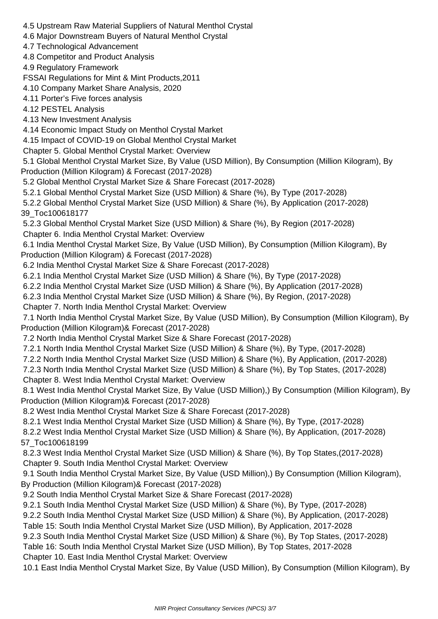4.5 Upstream Raw Material Suppliers of Natural Menthol Crystal 4.6 Major Downstream Buyers of Natural Menthol Crystal 4.7 Technological Advancement 4.8 Competitor and Product Analysis 4.9 Regulatory Framework FSSAI Regulations for Mint & Mint Products,2011 4.10 Company Market Share Analysis, 2020 4.11 Porter's Five forces analysis 4.12 PESTEL Analysis 4.13 New Investment Analysis 4.14 Economic Impact Study on Menthol Crystal Market 4.15 Impact of COVID-19 on Global Menthol Crystal Market Chapter 5. Global Menthol Crystal Market: Overview 5.1 Global Menthol Crystal Market Size, By Value (USD Million), By Consumption (Million Kilogram), By Production (Million Kilogram) & Forecast (2017-2028) 5.2 Global Menthol Crystal Market Size & Share Forecast (2017-2028) 5.2.1 Global Menthol Crystal Market Size (USD Million) & Share (%), By Type (2017-2028) 5.2.2 Global Menthol Crystal Market Size (USD Million) & Share (%), By Application (2017-2028) 39\_Toc100618177 5.2.3 Global Menthol Crystal Market Size (USD Million) & Share (%), By Region (2017-2028) Chapter 6. India Menthol Crystal Market: Overview 6.1 India Menthol Crystal Market Size, By Value (USD Million), By Consumption (Million Kilogram), By Production (Million Kilogram) & Forecast (2017-2028) 6.2 India Menthol Crystal Market Size & Share Forecast (2017-2028) 6.2.1 India Menthol Crystal Market Size (USD Million) & Share (%), By Type (2017-2028) 6.2.2 India Menthol Crystal Market Size (USD Million) & Share (%), By Application (2017-2028) 6.2.3 India Menthol Crystal Market Size (USD Million) & Share (%), By Region, (2017-2028) Chapter 7. North India Menthol Crystal Market: Overview 7.1 North India Menthol Crystal Market Size, By Value (USD Million), By Consumption (Million Kilogram), By Production (Million Kilogram)& Forecast (2017-2028) 7.2 North India Menthol Crystal Market Size & Share Forecast (2017-2028) 7.2.1 North India Menthol Crystal Market Size (USD Million) & Share (%), By Type, (2017-2028) 7.2.2 North India Menthol Crystal Market Size (USD Million) & Share (%), By Application, (2017-2028) 7.2.3 North India Menthol Crystal Market Size (USD Million) & Share (%), By Top States, (2017-2028) Chapter 8. West India Menthol Crystal Market: Overview 8.1 West India Menthol Crystal Market Size, By Value (USD Million),) By Consumption (Million Kilogram), By Production (Million Kilogram)& Forecast (2017-2028) 8.2 West India Menthol Crystal Market Size & Share Forecast (2017-2028) 8.2.1 West India Menthol Crystal Market Size (USD Million) & Share (%), By Type, (2017-2028) 8.2.2 West India Menthol Crystal Market Size (USD Million) & Share (%), By Application, (2017-2028) 57\_Toc100618199 8.2.3 West India Menthol Crystal Market Size (USD Million) & Share (%), By Top States,(2017-2028) Chapter 9. South India Menthol Crystal Market: Overview 9.1 South India Menthol Crystal Market Size, By Value (USD Million),) By Consumption (Million Kilogram), By Production (Million Kilogram)& Forecast (2017-2028) 9.2 South India Menthol Crystal Market Size & Share Forecast (2017-2028) 9.2.1 South India Menthol Crystal Market Size (USD Million) & Share (%), By Type, (2017-2028) 9.2.2 South India Menthol Crystal Market Size (USD Million) & Share (%), By Application, (2017-2028) Table 15: South India Menthol Crystal Market Size (USD Million), By Application, 2017-2028 9.2.3 South India Menthol Crystal Market Size (USD Million) & Share (%), By Top States, (2017-2028) Table 16: South India Menthol Crystal Market Size (USD Million), By Top States, 2017-2028 Chapter 10. East India Menthol Crystal Market: Overview

10.1 East India Menthol Crystal Market Size, By Value (USD Million), By Consumption (Million Kilogram), By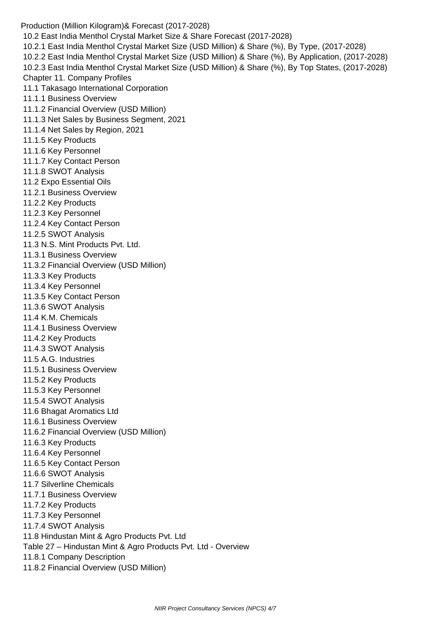Production (Million Kilogram)& Forecast (2017-2028) 10.2 East India Menthol Crystal Market Size & Share Forecast (2017-2028) 10.2.1 East India Menthol Crystal Market Size (USD Million) & Share (%), By Type, (2017-2028) 10.2.2 East India Menthol Crystal Market Size (USD Million) & Share (%), By Application, (2017-2028) 10.2.3 East India Menthol Crystal Market Size (USD Million) & Share (%), By Top States, (2017-2028) Chapter 11. Company Profiles 11.1 Takasago International Corporation 11.1.1 Business Overview 11.1.2 Financial Overview (USD Million) 11.1.3 Net Sales by Business Segment, 2021 11.1.4 Net Sales by Region, 2021 11.1.5 Key Products 11.1.6 Key Personnel 11.1.7 Key Contact Person 11.1.8 SWOT Analysis 11.2 Expo Essential Oils 11.2.1 Business Overview 11.2.2 Key Products 11.2.3 Key Personnel 11.2.4 Key Contact Person 11.2.5 SWOT Analysis 11.3 N.S. Mint Products Pvt. Ltd. 11.3.1 Business Overview 11.3.2 Financial Overview (USD Million) 11.3.3 Key Products 11.3.4 Key Personnel 11.3.5 Key Contact Person 11.3.6 SWOT Analysis 11.4 K.M. Chemicals 11.4.1 Business Overview 11.4.2 Key Products 11.4.3 SWOT Analysis 11.5 A.G. Industries 11.5.1 Business Overview 11.5.2 Key Products 11.5.3 Key Personnel 11.5.4 SWOT Analysis 11.6 Bhagat Aromatics Ltd 11.6.1 Business Overview 11.6.2 Financial Overview (USD Million) 11.6.3 Key Products 11.6.4 Key Personnel 11.6.5 Key Contact Person 11.6.6 SWOT Analysis 11.7 Silverline Chemicals 11.7.1 Business Overview 11.7.2 Key Products 11.7.3 Key Personnel 11.7.4 SWOT Analysis 11.8 Hindustan Mint & Agro Products Pvt. Ltd Table 27 – Hindustan Mint & Agro Products Pvt. Ltd - Overview 11.8.1 Company Description 11.8.2 Financial Overview (USD Million)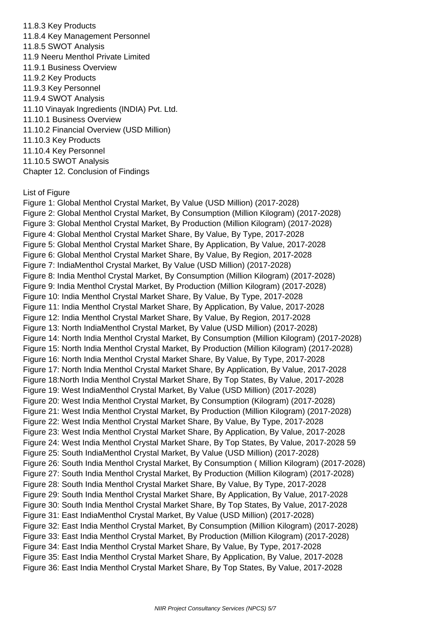11.8.3 Key Products 11.8.4 Key Management Personnel 11.8.5 SWOT Analysis 11.9 Neeru Menthol Private Limited 11.9.1 Business Overview 11.9.2 Key Products 11.9.3 Key Personnel 11.9.4 SWOT Analysis 11.10 Vinayak Ingredients (INDIA) Pvt. Ltd. 11.10.1 Business Overview 11.10.2 Financial Overview (USD Million) 11.10.3 Key Products 11.10.4 Key Personnel 11.10.5 SWOT Analysis Chapter 12. Conclusion of Findings

List of Figure

 Figure 1: Global Menthol Crystal Market, By Value (USD Million) (2017-2028) Figure 2: Global Menthol Crystal Market, By Consumption (Million Kilogram) (2017-2028) Figure 3: Global Menthol Crystal Market, By Production (Million Kilogram) (2017-2028) Figure 4: Global Menthol Crystal Market Share, By Value, By Type, 2017-2028 Figure 5: Global Menthol Crystal Market Share, By Application, By Value, 2017-2028 Figure 6: Global Menthol Crystal Market Share, By Value, By Region, 2017-2028 Figure 7: IndiaMenthol Crystal Market, By Value (USD Million) (2017-2028) Figure 8: India Menthol Crystal Market, By Consumption (Million Kilogram) (2017-2028) Figure 9: India Menthol Crystal Market, By Production (Million Kilogram) (2017-2028) Figure 10: India Menthol Crystal Market Share, By Value, By Type, 2017-2028 Figure 11: India Menthol Crystal Market Share, By Application, By Value, 2017-2028 Figure 12: India Menthol Crystal Market Share, By Value, By Region, 2017-2028 Figure 13: North IndiaMenthol Crystal Market, By Value (USD Million) (2017-2028) Figure 14: North India Menthol Crystal Market, By Consumption (Million Kilogram) (2017-2028) Figure 15: North India Menthol Crystal Market, By Production (Million Kilogram) (2017-2028) Figure 16: North India Menthol Crystal Market Share, By Value, By Type, 2017-2028 Figure 17: North India Menthol Crystal Market Share, By Application, By Value, 2017-2028 Figure 18:North India Menthol Crystal Market Share, By Top States, By Value, 2017-2028 Figure 19: West IndiaMenthol Crystal Market, By Value (USD Million) (2017-2028) Figure 20: West India Menthol Crystal Market, By Consumption (Kilogram) (2017-2028) Figure 21: West India Menthol Crystal Market, By Production (Million Kilogram) (2017-2028) Figure 22: West India Menthol Crystal Market Share, By Value, By Type, 2017-2028 Figure 23: West India Menthol Crystal Market Share, By Application, By Value, 2017-2028 Figure 24: West India Menthol Crystal Market Share, By Top States, By Value, 2017-2028 59 Figure 25: South IndiaMenthol Crystal Market, By Value (USD Million) (2017-2028) Figure 26: South India Menthol Crystal Market, By Consumption ( Million Kilogram) (2017-2028) Figure 27: South India Menthol Crystal Market, By Production (Million Kilogram) (2017-2028) Figure 28: South India Menthol Crystal Market Share, By Value, By Type, 2017-2028 Figure 29: South India Menthol Crystal Market Share, By Application, By Value, 2017-2028 Figure 30: South India Menthol Crystal Market Share, By Top States, By Value, 2017-2028 Figure 31: East IndiaMenthol Crystal Market, By Value (USD Million) (2017-2028) Figure 32: East India Menthol Crystal Market, By Consumption (Million Kilogram) (2017-2028) Figure 33: East India Menthol Crystal Market, By Production (Million Kilogram) (2017-2028) Figure 34: East India Menthol Crystal Market Share, By Value, By Type, 2017-2028 Figure 35: East India Menthol Crystal Market Share, By Application, By Value, 2017-2028 Figure 36: East India Menthol Crystal Market Share, By Top States, By Value, 2017-2028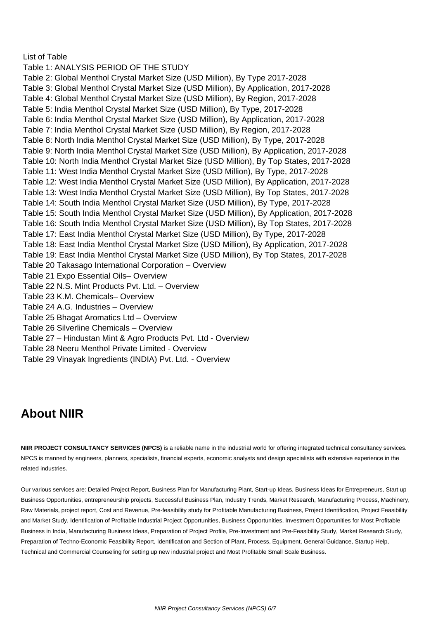List of Table

 Table 1: ANALYSIS PERIOD OF THE STUDY Table 2: Global Menthol Crystal Market Size (USD Million), By Type 2017-2028 Table 3: Global Menthol Crystal Market Size (USD Million), By Application, 2017-2028 Table 4: Global Menthol Crystal Market Size (USD Million), By Region, 2017-2028 Table 5: India Menthol Crystal Market Size (USD Million), By Type, 2017-2028 Table 6: India Menthol Crystal Market Size (USD Million), By Application, 2017-2028 Table 7: India Menthol Crystal Market Size (USD Million), By Region, 2017-2028 Table 8: North India Menthol Crystal Market Size (USD Million), By Type, 2017-2028 Table 9: North India Menthol Crystal Market Size (USD Million), By Application, 2017-2028 Table 10: North India Menthol Crystal Market Size (USD Million), By Top States, 2017-2028 Table 11: West India Menthol Crystal Market Size (USD Million), By Type, 2017-2028 Table 12: West India Menthol Crystal Market Size (USD Million), By Application, 2017-2028 Table 13: West India Menthol Crystal Market Size (USD Million), By Top States, 2017-2028 Table 14: South India Menthol Crystal Market Size (USD Million), By Type, 2017-2028 Table 15: South India Menthol Crystal Market Size (USD Million), By Application, 2017-2028 Table 16: South India Menthol Crystal Market Size (USD Million), By Top States, 2017-2028 Table 17: East India Menthol Crystal Market Size (USD Million), By Type, 2017-2028 Table 18: East India Menthol Crystal Market Size (USD Million), By Application, 2017-2028 Table 19: East India Menthol Crystal Market Size (USD Million), By Top States, 2017-2028 Table 20 Takasago International Corporation – Overview Table 21 Expo Essential Oils– Overview Table 22 N.S. Mint Products Pvt. Ltd. – Overview Table 23 K.M. Chemicals– Overview Table 24 A.G. Industries – Overview Table 25 Bhagat Aromatics Ltd – Overview Table 26 Silverline Chemicals – Overview Table 27 – Hindustan Mint & Agro Products Pvt. Ltd - Overview Table 28 Neeru Menthol Private Limited - Overview Table 29 Vinayak Ingredients (INDIA) Pvt. Ltd. - Overview

## **About NIIR**

**NIIR PROJECT CONSULTANCY SERVICES (NPCS)** is a reliable name in the industrial world for offering integrated technical consultancy services. NPCS is manned by engineers, planners, specialists, financial experts, economic analysts and design specialists with extensive experience in the related industries.

Our various services are: Detailed Project Report, Business Plan for Manufacturing Plant, Start-up Ideas, Business Ideas for Entrepreneurs, Start up Business Opportunities, entrepreneurship projects, Successful Business Plan, Industry Trends, Market Research, Manufacturing Process, Machinery, Raw Materials, project report, Cost and Revenue, Pre-feasibility study for Profitable Manufacturing Business, Project Identification, Project Feasibility and Market Study, Identification of Profitable Industrial Project Opportunities, Business Opportunities, Investment Opportunities for Most Profitable Business in India, Manufacturing Business Ideas, Preparation of Project Profile, Pre-Investment and Pre-Feasibility Study, Market Research Study, Preparation of Techno-Economic Feasibility Report, Identification and Section of Plant, Process, Equipment, General Guidance, Startup Help, Technical and Commercial Counseling for setting up new industrial project and Most Profitable Small Scale Business.